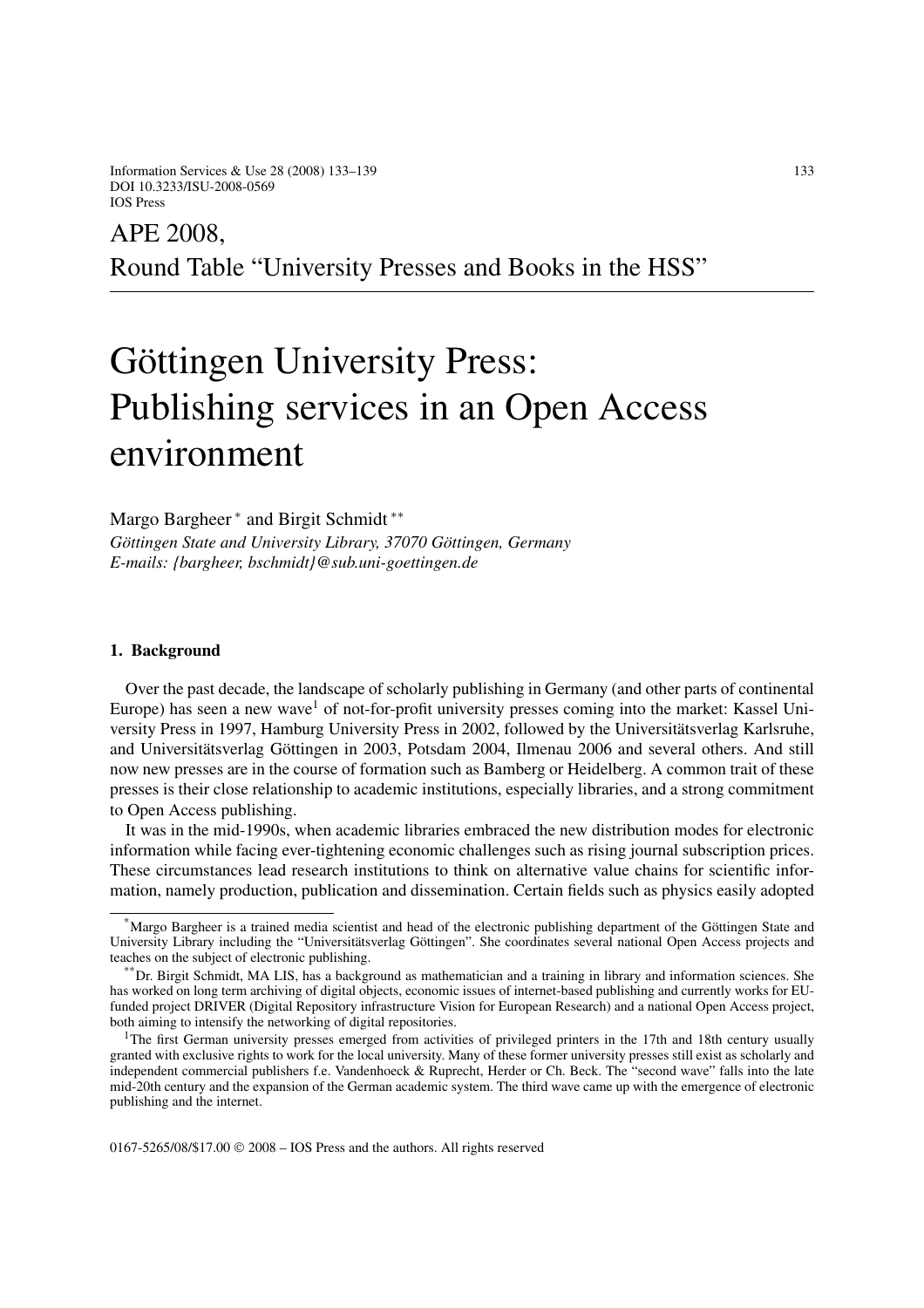Information Services & Use 28 (2008) 133–139 133 DOI 10.3233/ISU-2008-0569 IOS Press

# APE 2008, Round Table "University Presses and Books in the HSS"

# Göttingen University Press: Publishing services in an Open Access environment

Margo Bargheer <sup>\*</sup> and Birgit Schmidt <sup>\*\*</sup> *Göttingen State and University Library, 37070 Göttingen, Germany E-mails: {bargheer, bschmidt}@sub.uni-goettingen.de*

#### **1. Background**

Over the past decade, the landscape of scholarly publishing in Germany (and other parts of continental Europe) has seen a new wave<sup>1</sup> of not-for-profit university presses coming into the market: Kassel University Press in 1997, Hamburg University Press in 2002, followed by the Universitätsverlag Karlsruhe, and Universitätsverlag Göttingen in 2003, Potsdam 2004, Ilmenau 2006 and several others. And still now new presses are in the course of formation such as Bamberg or Heidelberg. A common trait of these presses is their close relationship to academic institutions, especially libraries, and a strong commitment to Open Access publishing.

It was in the mid-1990s, when academic libraries embraced the new distribution modes for electronic information while facing ever-tightening economic challenges such as rising journal subscription prices. These circumstances lead research institutions to think on alternative value chains for scientific information, namely production, publication and dissemination. Certain fields such as physics easily adopted

0167-5265/08/\$17.00 © 2008 – IOS Press and the authors. All rights reserved

<sup>\*</sup>Margo Bargheer is a trained media scientist and head of the electronic publishing department of the Göttingen State and University Library including the "Universitätsverlag Göttingen". She coordinates several national Open Access projects and teaches on the subject of electronic publishing.

<sup>\*\*</sup>Dr. Birgit Schmidt, MA LIS, has a background as mathematician and a training in library and information sciences. She has worked on long term archiving of digital objects, economic issues of internet-based publishing and currently works for EUfunded project DRIVER (Digital Repository infrastructure Vision for European Research) and a national Open Access project, both aiming to intensify the networking of digital repositories.

<sup>&</sup>lt;sup>1</sup>The first German university presses emerged from activities of privileged printers in the 17th and 18th century usually granted with exclusive rights to work for the local university. Many of these former university presses still exist as scholarly and independent commercial publishers f.e. Vandenhoeck & Ruprecht, Herder or Ch. Beck. The "second wave" falls into the late mid-20th century and the expansion of the German academic system. The third wave came up with the emergence of electronic publishing and the internet.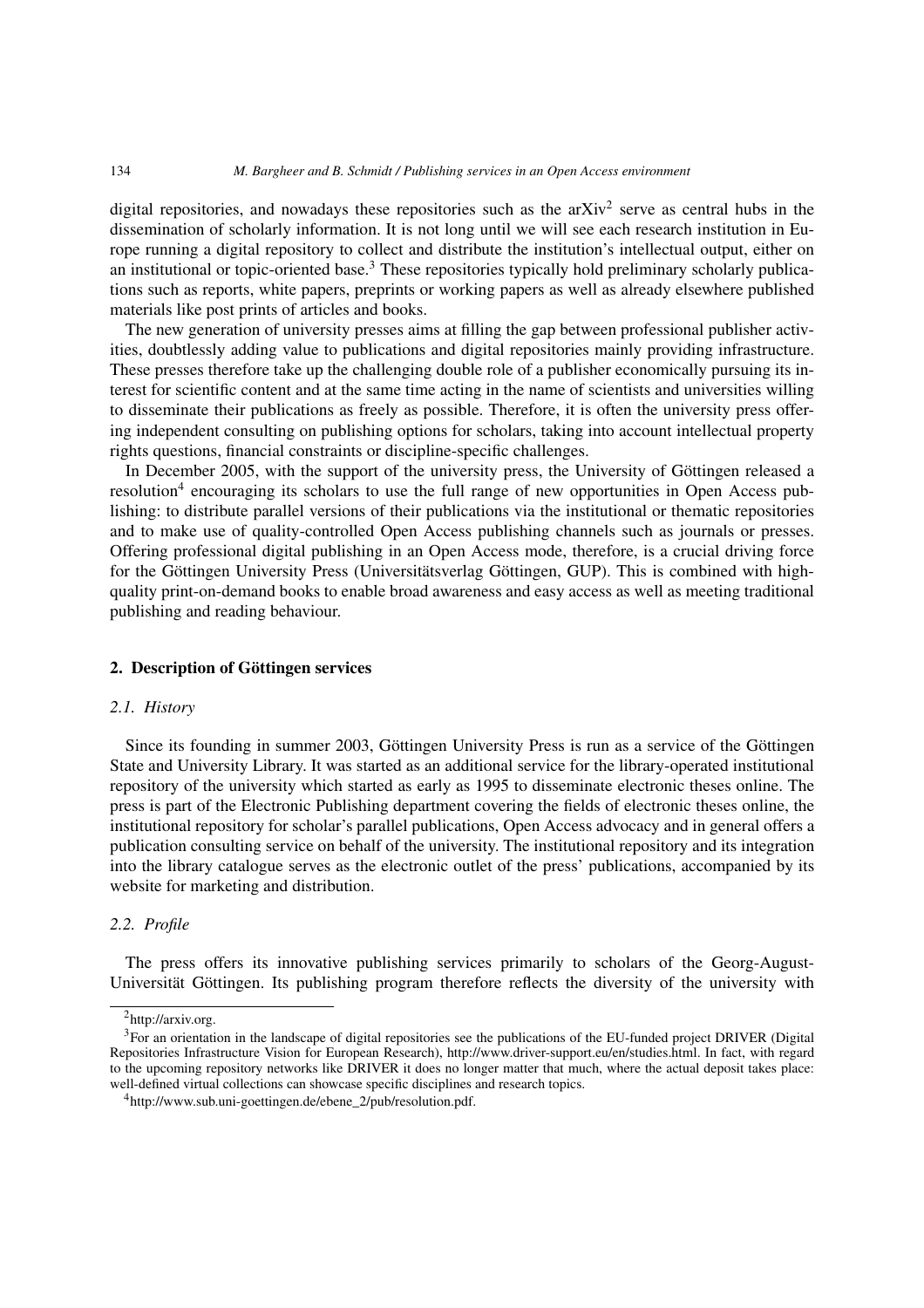digital repositories, and nowadays these repositories such as the  $a\bar{X}$  serve as central hubs in the dissemination of scholarly information. It is not long until we will see each research institution in Europe running a digital repository to collect and distribute the institution's intellectual output, either on an institutional or topic-oriented base.<sup>3</sup> These repositories typically hold preliminary scholarly publications such as reports, white papers, preprints or working papers as well as already elsewhere published materials like post prints of articles and books.

The new generation of university presses aims at filling the gap between professional publisher activities, doubtlessly adding value to publications and digital repositories mainly providing infrastructure. These presses therefore take up the challenging double role of a publisher economically pursuing its interest for scientific content and at the same time acting in the name of scientists and universities willing to disseminate their publications as freely as possible. Therefore, it is often the university press offering independent consulting on publishing options for scholars, taking into account intellectual property rights questions, financial constraints or discipline-specific challenges.

In December 2005, with the support of the university press, the University of Göttingen released a resolution<sup>4</sup> encouraging its scholars to use the full range of new opportunities in Open Access publishing: to distribute parallel versions of their publications via the institutional or thematic repositories and to make use of quality-controlled Open Access publishing channels such as journals or presses. Offering professional digital publishing in an Open Access mode, therefore, is a crucial driving force for the Göttingen University Press (Universitätsverlag Göttingen, GUP). This is combined with highquality print-on-demand books to enable broad awareness and easy access as well as meeting traditional publishing and reading behaviour.

#### **2. Description of Göttingen services**

# *2.1. History*

Since its founding in summer 2003, Göttingen University Press is run as a service of the Göttingen State and University Library. It was started as an additional service for the library-operated institutional repository of the university which started as early as 1995 to disseminate electronic theses online. The press is part of the Electronic Publishing department covering the fields of electronic theses online, the institutional repository for scholar's parallel publications, Open Access advocacy and in general offers a publication consulting service on behalf of the university. The institutional repository and its integration into the library catalogue serves as the electronic outlet of the press' publications, accompanied by its website for marketing and distribution.

# *2.2. Profile*

The press offers its innovative publishing services primarily to scholars of the Georg-August-Universität Göttingen. Its publishing program therefore reflects the diversity of the university with

<sup>2</sup>http://arxiv.org.

<sup>&</sup>lt;sup>3</sup>For an orientation in the landscape of digital repositories see the publications of the EU-funded project DRIVER (Digital Repositories Infrastructure Vision for European Research), http://www.driver-support.eu/en/studies.html. In fact, with regard to the upcoming repository networks like DRIVER it does no longer matter that much, where the actual deposit takes place: well-defined virtual collections can showcase specific disciplines and research topics.

<sup>4</sup>http://www.sub.uni-goettingen.de/ebene\_2/pub/resolution.pdf.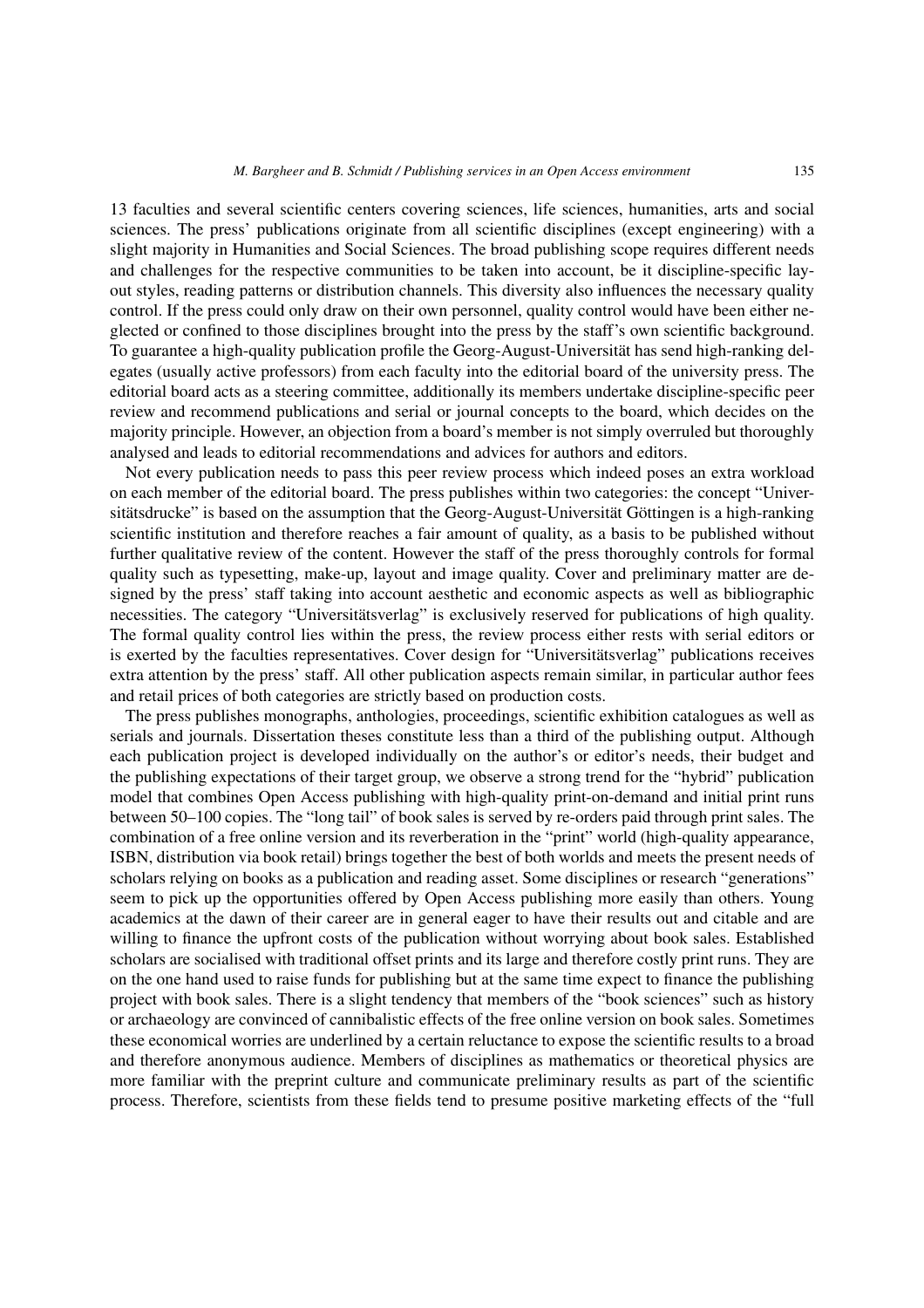13 faculties and several scientific centers covering sciences, life sciences, humanities, arts and social sciences. The press' publications originate from all scientific disciplines (except engineering) with a slight majority in Humanities and Social Sciences. The broad publishing scope requires different needs and challenges for the respective communities to be taken into account, be it discipline-specific layout styles, reading patterns or distribution channels. This diversity also influences the necessary quality control. If the press could only draw on their own personnel, quality control would have been either neglected or confined to those disciplines brought into the press by the staff's own scientific background. To guarantee a high-quality publication profile the Georg-August-Universität has send high-ranking delegates (usually active professors) from each faculty into the editorial board of the university press. The editorial board acts as a steering committee, additionally its members undertake discipline-specific peer review and recommend publications and serial or journal concepts to the board, which decides on the majority principle. However, an objection from a board's member is not simply overruled but thoroughly analysed and leads to editorial recommendations and advices for authors and editors.

Not every publication needs to pass this peer review process which indeed poses an extra workload on each member of the editorial board. The press publishes within two categories: the concept "Universitätsdrucke" is based on the assumption that the Georg-August-Universität Göttingen is a high-ranking scientific institution and therefore reaches a fair amount of quality, as a basis to be published without further qualitative review of the content. However the staff of the press thoroughly controls for formal quality such as typesetting, make-up, layout and image quality. Cover and preliminary matter are designed by the press' staff taking into account aesthetic and economic aspects as well as bibliographic necessities. The category "Universitätsverlag" is exclusively reserved for publications of high quality. The formal quality control lies within the press, the review process either rests with serial editors or is exerted by the faculties representatives. Cover design for "Universitätsverlag" publications receives extra attention by the press' staff. All other publication aspects remain similar, in particular author fees and retail prices of both categories are strictly based on production costs.

The press publishes monographs, anthologies, proceedings, scientific exhibition catalogues as well as serials and journals. Dissertation theses constitute less than a third of the publishing output. Although each publication project is developed individually on the author's or editor's needs, their budget and the publishing expectations of their target group, we observe a strong trend for the "hybrid" publication model that combines Open Access publishing with high-quality print-on-demand and initial print runs between 50–100 copies. The "long tail" of book sales is served by re-orders paid through print sales. The combination of a free online version and its reverberation in the "print" world (high-quality appearance, ISBN, distribution via book retail) brings together the best of both worlds and meets the present needs of scholars relying on books as a publication and reading asset. Some disciplines or research "generations" seem to pick up the opportunities offered by Open Access publishing more easily than others. Young academics at the dawn of their career are in general eager to have their results out and citable and are willing to finance the upfront costs of the publication without worrying about book sales. Established scholars are socialised with traditional offset prints and its large and therefore costly print runs. They are on the one hand used to raise funds for publishing but at the same time expect to finance the publishing project with book sales. There is a slight tendency that members of the "book sciences" such as history or archaeology are convinced of cannibalistic effects of the free online version on book sales. Sometimes these economical worries are underlined by a certain reluctance to expose the scientific results to a broad and therefore anonymous audience. Members of disciplines as mathematics or theoretical physics are more familiar with the preprint culture and communicate preliminary results as part of the scientific process. Therefore, scientists from these fields tend to presume positive marketing effects of the "full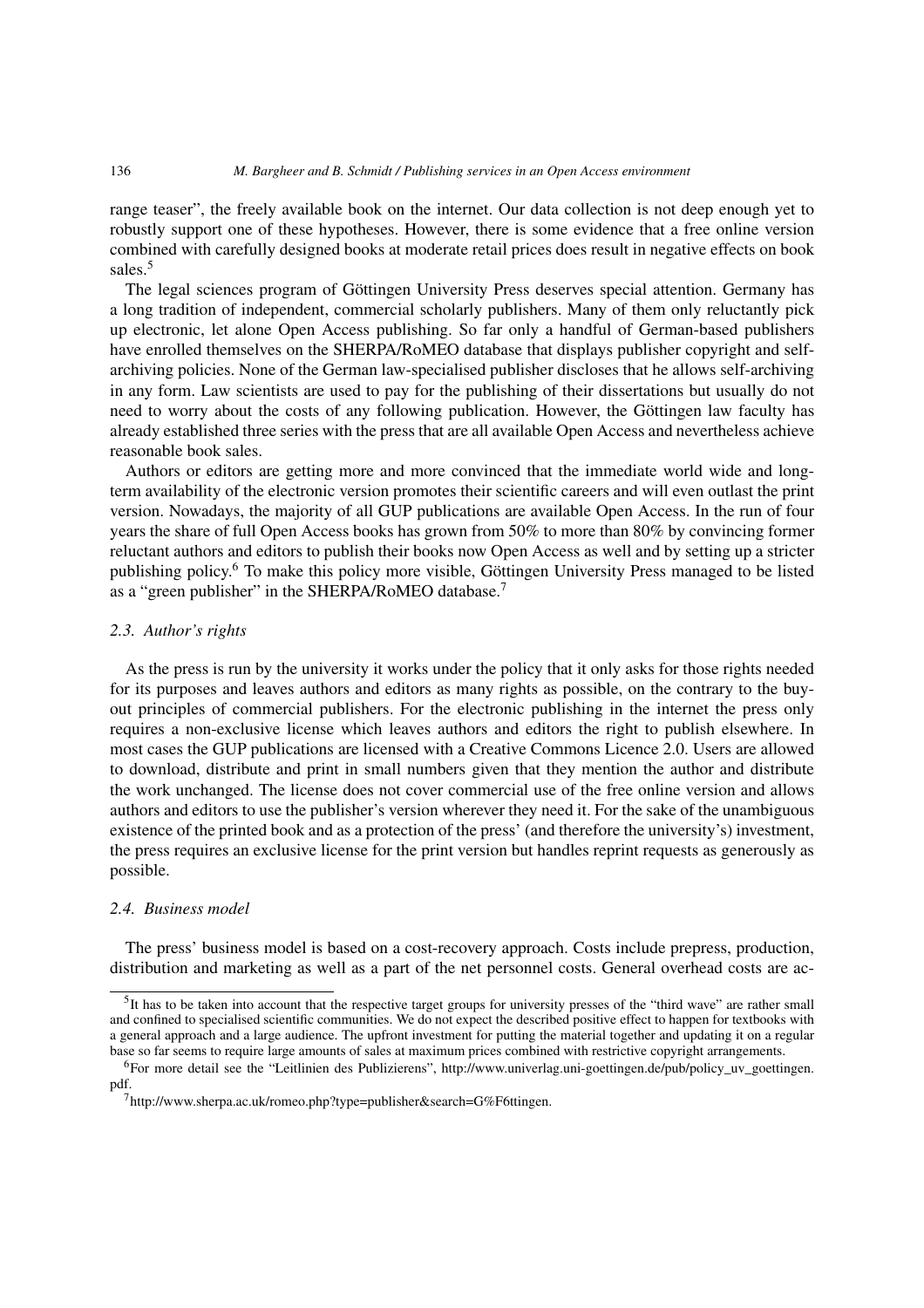#### 136 *M. Bargheer and B. Schmidt / Publishing services in an Open Access environment*

range teaser", the freely available book on the internet. Our data collection is not deep enough yet to robustly support one of these hypotheses. However, there is some evidence that a free online version combined with carefully designed books at moderate retail prices does result in negative effects on book sales.<sup>5</sup>

The legal sciences program of Göttingen University Press deserves special attention. Germany has a long tradition of independent, commercial scholarly publishers. Many of them only reluctantly pick up electronic, let alone Open Access publishing. So far only a handful of German-based publishers have enrolled themselves on the SHERPA/RoMEO database that displays publisher copyright and selfarchiving policies. None of the German law-specialised publisher discloses that he allows self-archiving in any form. Law scientists are used to pay for the publishing of their dissertations but usually do not need to worry about the costs of any following publication. However, the Göttingen law faculty has already established three series with the press that are all available Open Access and nevertheless achieve reasonable book sales.

Authors or editors are getting more and more convinced that the immediate world wide and longterm availability of the electronic version promotes their scientific careers and will even outlast the print version. Nowadays, the majority of all GUP publications are available Open Access. In the run of four years the share of full Open Access books has grown from 50% to more than 80% by convincing former reluctant authors and editors to publish their books now Open Access as well and by setting up a stricter publishing policy.6 To make this policy more visible, Göttingen University Press managed to be listed as a "green publisher" in the SHERPA/RoMEO database.<sup>7</sup>

#### *2.3. Author's rights*

As the press is run by the university it works under the policy that it only asks for those rights needed for its purposes and leaves authors and editors as many rights as possible, on the contrary to the buyout principles of commercial publishers. For the electronic publishing in the internet the press only requires a non-exclusive license which leaves authors and editors the right to publish elsewhere. In most cases the GUP publications are licensed with a Creative Commons Licence 2.0. Users are allowed to download, distribute and print in small numbers given that they mention the author and distribute the work unchanged. The license does not cover commercial use of the free online version and allows authors and editors to use the publisher's version wherever they need it. For the sake of the unambiguous existence of the printed book and as a protection of the press' (and therefore the university's) investment, the press requires an exclusive license for the print version but handles reprint requests as generously as possible.

# *2.4. Business model*

The press' business model is based on a cost-recovery approach. Costs include prepress, production, distribution and marketing as well as a part of the net personnel costs. General overhead costs are ac-

<sup>&</sup>lt;sup>5</sup>It has to be taken into account that the respective target groups for university presses of the "third wave" are rather small and confined to specialised scientific communities. We do not expect the described positive effect to happen for textbooks with a general approach and a large audience. The upfront investment for putting the material together and updating it on a regular base so far seems to require large amounts of sales at maximum prices combined with restrictive copyright arrangements.

<sup>&</sup>lt;sup>6</sup>For more detail see the "Leitlinien des Publizierens", http://www.univerlag.uni-goettingen.de/pub/policy\_uv\_goettingen. pdf.

<sup>7</sup>http://www.sherpa.ac.uk/romeo.php?type=publisher&search=G%F6ttingen.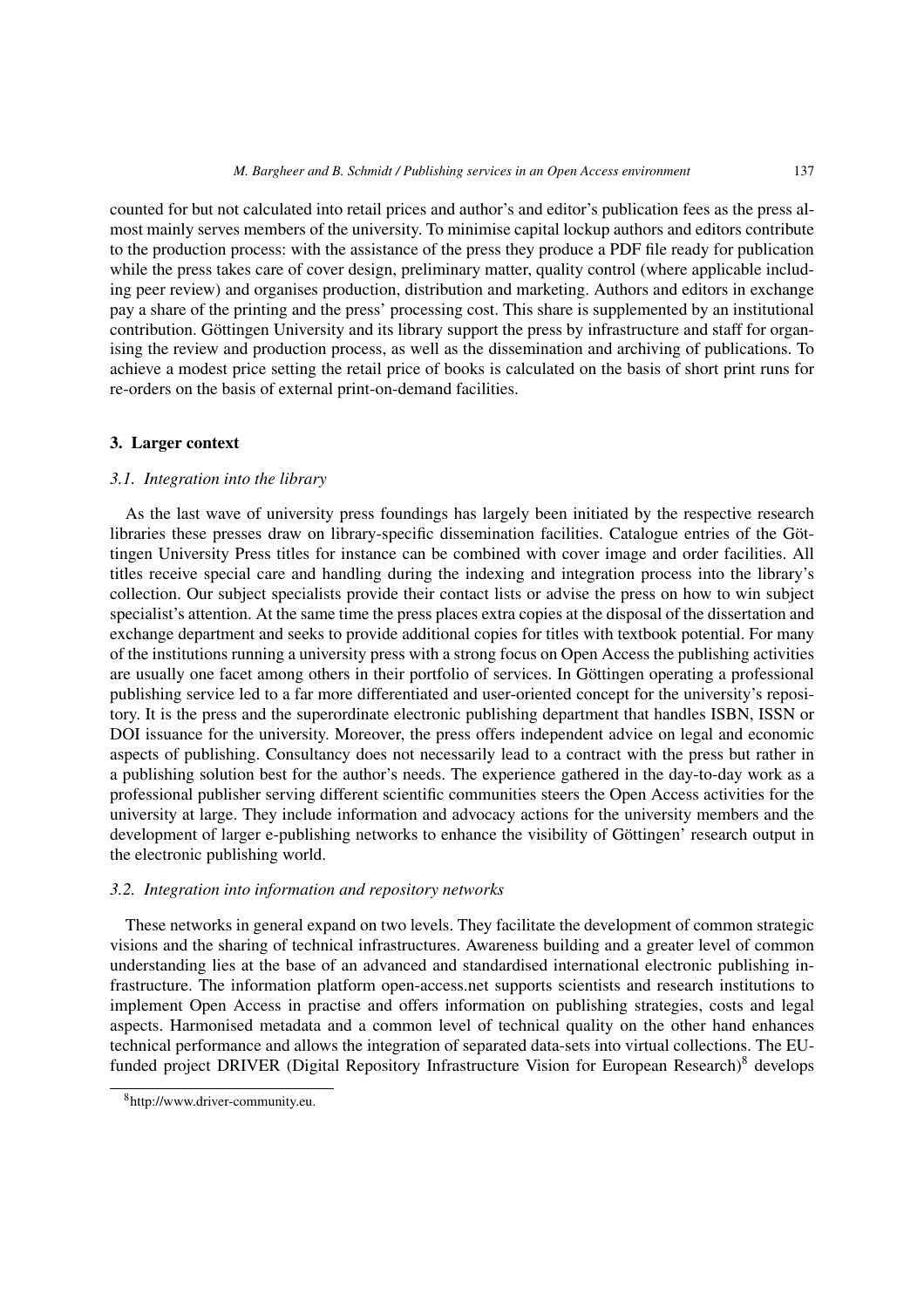counted for but not calculated into retail prices and author's and editor's publication fees as the press almost mainly serves members of the university. To minimise capital lockup authors and editors contribute to the production process: with the assistance of the press they produce a PDF file ready for publication while the press takes care of cover design, preliminary matter, quality control (where applicable including peer review) and organises production, distribution and marketing. Authors and editors in exchange pay a share of the printing and the press' processing cost. This share is supplemented by an institutional contribution. Göttingen University and its library support the press by infrastructure and staff for organising the review and production process, as well as the dissemination and archiving of publications. To achieve a modest price setting the retail price of books is calculated on the basis of short print runs for re-orders on the basis of external print-on-demand facilities.

#### **3. Larger context**

#### *3.1. Integration into the library*

As the last wave of university press foundings has largely been initiated by the respective research libraries these presses draw on library-specific dissemination facilities. Catalogue entries of the Göttingen University Press titles for instance can be combined with cover image and order facilities. All titles receive special care and handling during the indexing and integration process into the library's collection. Our subject specialists provide their contact lists or advise the press on how to win subject specialist's attention. At the same time the press places extra copies at the disposal of the dissertation and exchange department and seeks to provide additional copies for titles with textbook potential. For many of the institutions running a university press with a strong focus on Open Access the publishing activities are usually one facet among others in their portfolio of services. In Göttingen operating a professional publishing service led to a far more differentiated and user-oriented concept for the university's repository. It is the press and the superordinate electronic publishing department that handles ISBN, ISSN or DOI issuance for the university. Moreover, the press offers independent advice on legal and economic aspects of publishing. Consultancy does not necessarily lead to a contract with the press but rather in a publishing solution best for the author's needs. The experience gathered in the day-to-day work as a professional publisher serving different scientific communities steers the Open Access activities for the university at large. They include information and advocacy actions for the university members and the development of larger e-publishing networks to enhance the visibility of Göttingen' research output in the electronic publishing world.

#### *3.2. Integration into information and repository networks*

These networks in general expand on two levels. They facilitate the development of common strategic visions and the sharing of technical infrastructures. Awareness building and a greater level of common understanding lies at the base of an advanced and standardised international electronic publishing infrastructure. The information platform open-access.net supports scientists and research institutions to implement Open Access in practise and offers information on publishing strategies, costs and legal aspects. Harmonised metadata and a common level of technical quality on the other hand enhances technical performance and allows the integration of separated data-sets into virtual collections. The EUfunded project DRIVER (Digital Repository Infrastructure Vision for European Research)<sup>8</sup> develops

<sup>8</sup>http://www.driver-community.eu.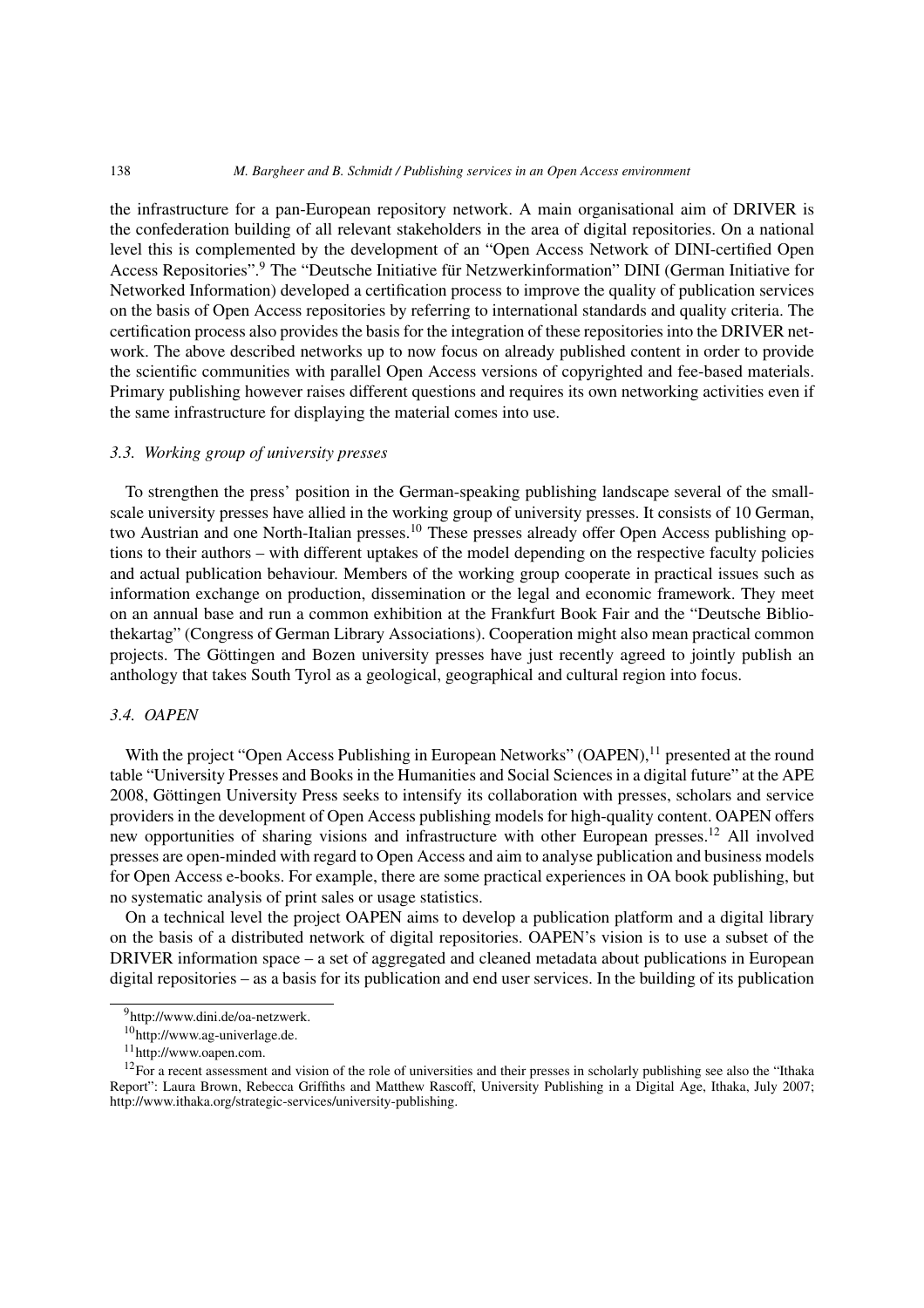#### 138 *M. Bargheer and B. Schmidt / Publishing services in an Open Access environment*

the infrastructure for a pan-European repository network. A main organisational aim of DRIVER is the confederation building of all relevant stakeholders in the area of digital repositories. On a national level this is complemented by the development of an "Open Access Network of DINI-certified Open Access Repositories".<sup>9</sup> The "Deutsche Initiative für Netzwerkinformation" DINI (German Initiative for Networked Information) developed a certification process to improve the quality of publication services on the basis of Open Access repositories by referring to international standards and quality criteria. The certification process also provides the basis for the integration of these repositories into the DRIVER network. The above described networks up to now focus on already published content in order to provide the scientific communities with parallel Open Access versions of copyrighted and fee-based materials. Primary publishing however raises different questions and requires its own networking activities even if the same infrastructure for displaying the material comes into use.

# *3.3. Working group of university presses*

To strengthen the press' position in the German-speaking publishing landscape several of the smallscale university presses have allied in the working group of university presses. It consists of 10 German, two Austrian and one North-Italian presses.<sup>10</sup> These presses already offer Open Access publishing options to their authors – with different uptakes of the model depending on the respective faculty policies and actual publication behaviour. Members of the working group cooperate in practical issues such as information exchange on production, dissemination or the legal and economic framework. They meet on an annual base and run a common exhibition at the Frankfurt Book Fair and the "Deutsche Bibliothekartag" (Congress of German Library Associations). Cooperation might also mean practical common projects. The Göttingen and Bozen university presses have just recently agreed to jointly publish an anthology that takes South Tyrol as a geological, geographical and cultural region into focus.

#### *3.4. OAPEN*

With the project "Open Access Publishing in European Networks" (OAPEN),<sup>11</sup> presented at the round table "University Presses and Books in the Humanities and Social Sciences in a digital future" at the APE 2008, Göttingen University Press seeks to intensify its collaboration with presses, scholars and service providers in the development of Open Access publishing models for high-quality content. OAPEN offers new opportunities of sharing visions and infrastructure with other European presses.<sup>12</sup> All involved presses are open-minded with regard to Open Access and aim to analyse publication and business models for Open Access e-books. For example, there are some practical experiences in OA book publishing, but no systematic analysis of print sales or usage statistics.

On a technical level the project OAPEN aims to develop a publication platform and a digital library on the basis of a distributed network of digital repositories. OAPEN's vision is to use a subset of the DRIVER information space – a set of aggregated and cleaned metadata about publications in European digital repositories – as a basis for its publication and end user services. In the building of its publication

<sup>9</sup>http://www.dini.de/oa-netzwerk.

<sup>10</sup>http://www.ag-univerlage.de.

<sup>11</sup>http://www.oapen.com.

 $12$ For a recent assessment and vision of the role of universities and their presses in scholarly publishing see also the "Ithaka Report": Laura Brown, Rebecca Griffiths and Matthew Rascoff, University Publishing in a Digital Age, Ithaka, July 2007; http://www.ithaka.org/strategic-services/university-publishing.